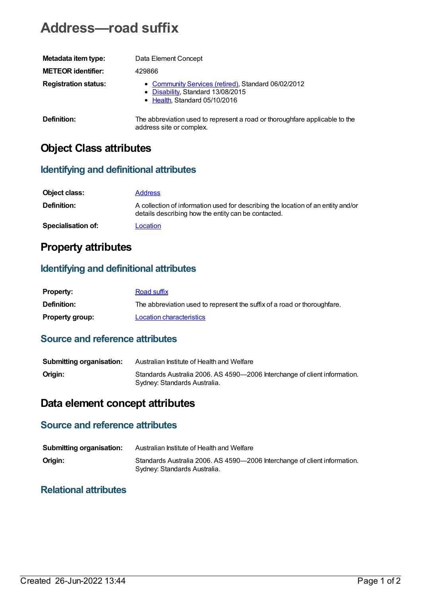# **Address—road suffix**

| Metadata item type:         | Data Element Concept                                                                                                      |
|-----------------------------|---------------------------------------------------------------------------------------------------------------------------|
| <b>METEOR identifier:</b>   | 429866                                                                                                                    |
| <b>Registration status:</b> | • Community Services (retired), Standard 06/02/2012<br>• Disability, Standard 13/08/2015<br>• Health, Standard 05/10/2016 |
| Definition:                 | The abbreviation used to represent a road or thoroughfare applicable to the<br>address site or complex.                   |

## **Object Class attributes**

### **Identifying and definitional attributes**

| Object class:             | <b>Address</b>                                                                                                                          |
|---------------------------|-----------------------------------------------------------------------------------------------------------------------------------------|
| <b>Definition:</b>        | A collection of information used for describing the location of an entity and/or<br>details describing how the entity can be contacted. |
| <b>Specialisation of:</b> | Location                                                                                                                                |

### **Property attributes**

### **Identifying and definitional attributes**

| <b>Property:</b>       | Road suffix                                                              |
|------------------------|--------------------------------------------------------------------------|
| <b>Definition:</b>     | The abbreviation used to represent the suffix of a road or thoroughfare. |
| <b>Property group:</b> | <b>Location characteristics</b>                                          |

#### **Source and reference attributes**

| <b>Submitting organisation:</b> | Australian Institute of Health and Welfare                                                                |
|---------------------------------|-----------------------------------------------------------------------------------------------------------|
| Origin:                         | Standards Australia 2006. AS 4590-2006 Interchange of client information.<br>Sydney: Standards Australia. |

## **Data element concept attributes**

### **Source and reference attributes**

| <b>Submitting organisation:</b> | Australian Institute of Health and Welfare                                                                |
|---------------------------------|-----------------------------------------------------------------------------------------------------------|
| Origin:                         | Standards Australia 2006. AS 4590-2006 Interchange of client information.<br>Sydney: Standards Australia. |

### **Relational attributes**